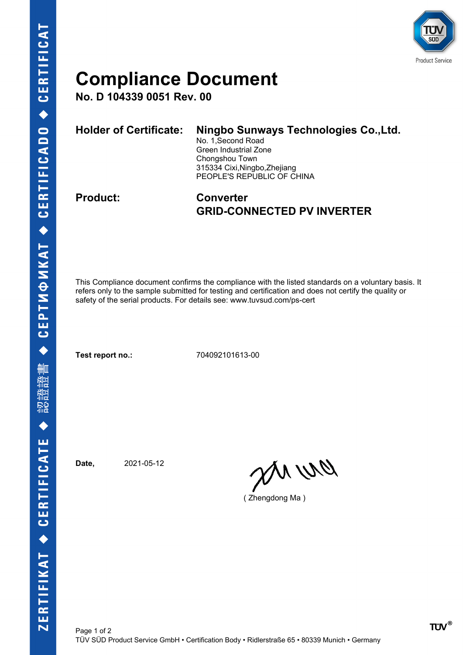

## **Compliance Document**

**No. D 104339 0051 Rev. 00**

| Holder of Certificate: | Ningbo Sunways Technologies Co., Ltd.<br>No. 1, Second Road<br>Green Industrial Zone<br>Chongshou Town<br>315334 Cixi, Ningbo, Zhejiang<br>PEOPLE'S REPUBLIC OF CHINA |
|------------------------|-----------------------------------------------------------------------------------------------------------------------------------------------------------------------|
|                        |                                                                                                                                                                       |

## **Product: Converter GRID-CONNECTED PV INVERTER**

This Compliance document confirms the compliance with the listed standards on a voluntary basis. It refers only to the sample submitted for testing and certification and does not certify the quality or safety of the serial products. For details see: www.tuvsud.com/ps-cert

**Test report no.:** 704092101613-00

**Date,** 2021-05-12

en ur

( Zhengdong Ma )